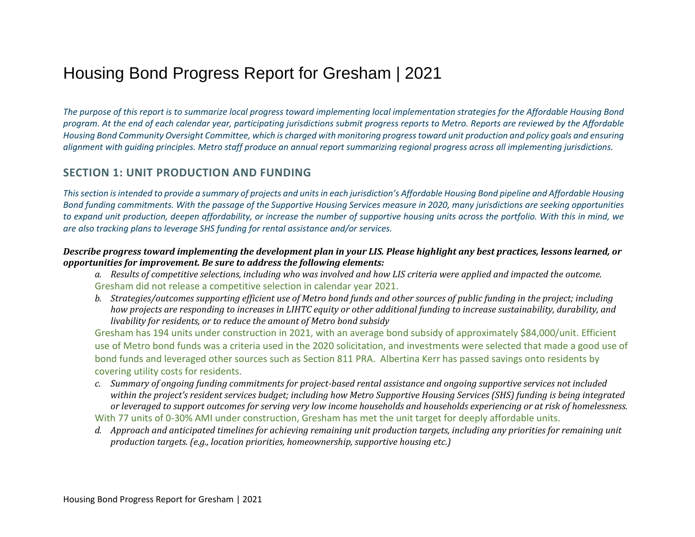# Housing Bond Progress Report for Gresham | 2021

*The purpose of this report is to summarize local progress toward implementing local implementation strategies for the Affordable Housing Bond program. At the end of each calendar year, participating jurisdictions submit progress reports to Metro. Reports are reviewed by the Affordable Housing Bond Community Oversight Committee, which is charged with monitoring progress toward unit production and policy goals and ensuring alignment with guiding principles. Metro staff produce an annual report summarizing regional progress across all implementing jurisdictions.* 

## **SECTION 1: UNIT PRODUCTION AND FUNDING**

*This section is intended to provide a summary of projects and units in each jurisdiction's Affordable Housing Bond pipeline and Affordable Housing Bond funding commitments. With the passage of the Supportive Housing Services measure in 2020, many jurisdictions are seeking opportunities to expand unit production, deepen affordability, or increase the number of supportive housing units across the portfolio. With this in mind, we are also tracking plans to leverage SHS funding for rental assistance and/or services.* 

#### *Describe progress toward implementing the development plan in your LIS. Please highlight any best practices, lessons learned, or opportunities for improvement. Be sure to address the following elements:*

- *a. Results of competitive selections, including who was involved and how LIS criteria were applied and impacted the outcome.* Gresham did not release a competitive selection in calendar year 2021.
- *b. Strategies/outcomes supporting efficient use of Metro bond funds and other sources of public funding in the project; including how projects are responding to increases in LIHTC equity or other additional funding to increase sustainability, durability, and livability for residents, or to reduce the amount of Metro bond subsidy*

Gresham has 194 units under construction in 2021, with an average bond subsidy of approximately \$84,000/unit. Efficient use of Metro bond funds was a criteria used in the 2020 solicitation, and investments were selected that made a good use of bond funds and leveraged other sources such as Section 811 PRA. Albertina Kerr has passed savings onto residents by covering utility costs for residents.

- *c. Summary of ongoing funding commitments for project-based rental assistance and ongoing supportive services not included within the project's resident services budget; including how Metro Supportive Housing Services (SHS) funding is being integrated or leveraged to support outcomes for serving very low income households and households experiencing or at risk of homelessness.* With 77 units of 0-30% AMI under construction, Gresham has met the unit target for deeply affordable units.
- *d. Approach and anticipated timelines for achieving remaining unit production targets, including any priorities for remaining unit production targets. (e.g., location priorities, homeownership, supportive housing etc.)*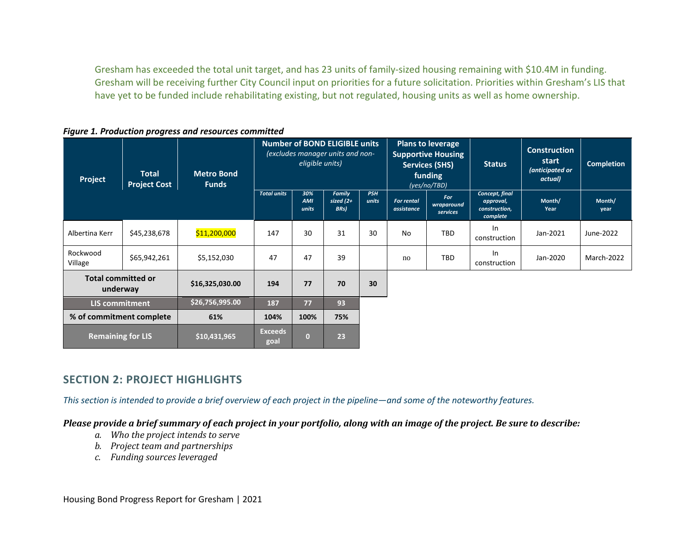Gresham has exceeded the total unit target, and has 23 units of family-sized housing remaining with \$10.4M in funding. Gresham will be receiving further City Council input on priorities for a future solicitation. Priorities within Gresham's LIS that have yet to be funded include rehabilitating existing, but not regulated, housing units as well as home ownership.

*Figure 1. Production progress and resources committed*

| Project                               | <b>Total</b><br><b>Project Cost</b> | <b>Metro Bond</b><br><b>Funds</b> | <b>Number of BOND ELIGIBLE units</b><br>(excludes manager units and non-<br>eligible units) |                     |                                | <b>Plans to leverage</b><br><b>Supportive Housing</b><br><b>Services (SHS)</b><br>funding<br>(yes/no/TBD) |                                 | <b>Status</b>                        | <b>Construction</b><br>start<br>(anticipated or<br>actual) | <b>Completion</b> |                |
|---------------------------------------|-------------------------------------|-----------------------------------|---------------------------------------------------------------------------------------------|---------------------|--------------------------------|-----------------------------------------------------------------------------------------------------------|---------------------------------|--------------------------------------|------------------------------------------------------------|-------------------|----------------|
|                                       |                                     |                                   | <b>Total units</b>                                                                          | 30%<br>AMI<br>units | Family<br>sized $(2+)$<br>BRs) | <b>PSH</b><br>units                                                                                       | <b>For rental</b><br>assistance | <b>For</b><br>wraparound<br>services | Concept, final<br>approval,<br>construction,<br>complete   | Month/<br>Year    | Month/<br>year |
| Albertina Kerr                        | \$45,238,678                        | \$11,200,000                      | 147                                                                                         | 30                  | 31                             | 30                                                                                                        | No                              | TBD                                  | In<br>construction                                         | Jan-2021          | June-2022      |
| Rockwood<br>Village                   | \$65,942,261                        | \$5,152,030                       | 47                                                                                          | 47                  | 39                             |                                                                                                           | no                              | TBD                                  | In<br>construction                                         | Jan-2020          | March-2022     |
| <b>Total committed or</b><br>underway |                                     | \$16,325,030.00                   | 194                                                                                         | 77                  | 70                             | 30                                                                                                        |                                 |                                      |                                                            |                   |                |
| <b>LIS commitment</b>                 |                                     | \$26,756,995.00                   | 187                                                                                         | 77                  | 93                             |                                                                                                           |                                 |                                      |                                                            |                   |                |
| % of commitment complete              |                                     | 61%                               | 104%                                                                                        | 100%                | 75%                            |                                                                                                           |                                 |                                      |                                                            |                   |                |
| <b>Remaining for LIS</b>              |                                     | \$10,431,965                      | <b>Exceeds</b><br>goal                                                                      | $\bf{0}$            | 23                             |                                                                                                           |                                 |                                      |                                                            |                   |                |

# **SECTION 2: PROJECT HIGHLIGHTS**

*This section is intended to provide a brief overview of each project in the pipeline—and some of the noteworthy features.* 

*Please provide a brief summary of each project in your portfolio, along with an image of the project. Be sure to describe:*

- *a. Who the project intends to serve*
- *b. Project team and partnerships*
- *c. Funding sources leveraged*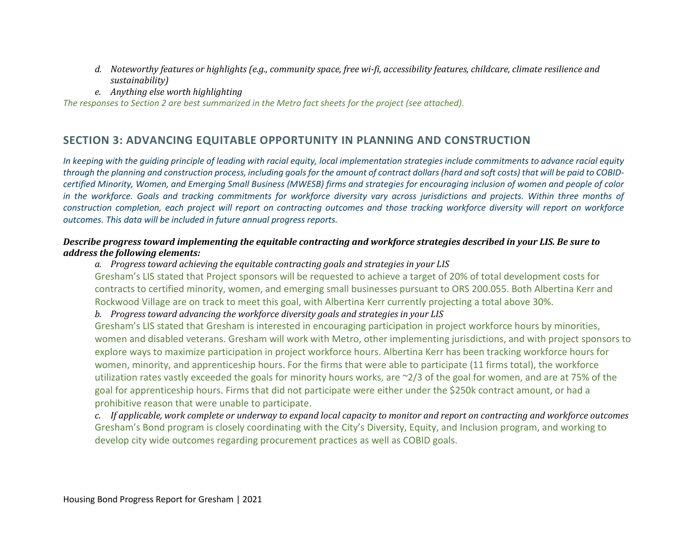- *d. Noteworthy features or highlights (e.g., community space, free wi-fi, accessibility features, childcare, climate resilience and sustainability)*
- *e. Anything else worth highlighting*

*The responses to Section 2 are best summarized in the Metro fact sheets for the project (see attached).*

# **SECTION 3: ADVANCING EQUITABLE OPPORTUNITY IN PLANNING AND CONSTRUCTION**

*In keeping with the guiding principle of leading with racial equity, local implementation strategies include commitments to advance racial equity through the planning and construction process, including goals for the amount of contract dollars (hard and soft costs) that will be paid to COBIDcertified Minority, Women, and Emerging Small Business (MWESB) firms and strategies for encouraging inclusion of women and people of color in the workforce. Goals and tracking commitments for workforce diversity vary across jurisdictions and projects. Within three months of construction completion, each project will report on contracting outcomes and those tracking workforce diversity will report on workforce outcomes. This data will be included in future annual progress reports.* 

## *Describe progress toward implementing the equitable contracting and workforce strategies described in your LIS. Be sure to address the following elements:*

*a. Progress toward achieving the equitable contracting goals and strategies in your LIS* Gresham's LIS stated that Project sponsors will be requested to achieve a target of 20% of total development costs for contracts to certified minority, women, and emerging small businesses pursuant to ORS 200.055. Both Albertina Kerr and Rockwood Village are on track to meet this goal, with Albertina Kerr currently projecting a total above 30%.

*b. Progress toward advancing the workforce diversity goals and strategies in your LIS*

Gresham's LIS stated that Gresham is interested in encouraging participation in project workforce hours by minorities, women and disabled veterans. Gresham will work with Metro, other implementing jurisdictions, and with project sponsors to explore ways to maximize participation in project workforce hours. Albertina Kerr has been tracking workforce hours for women, minority, and apprenticeship hours. For the firms that were able to participate (11 firms total), the workforce utilization rates vastly exceeded the goals for minority hours works, are ~2/3 of the goal for women, and are at 75% of the goal for apprenticeship hours. Firms that did not participate were either under the \$250k contract amount, or had a prohibitive reason that were unable to participate.

*c. If applicable, work complete or underway to expand local capacity to monitor and report on contracting and workforce outcomes* Gresham's Bond program is closely coordinating with the City's Diversity, Equity, and Inclusion program, and working to develop city wide outcomes regarding procurement practices as well as COBID goals.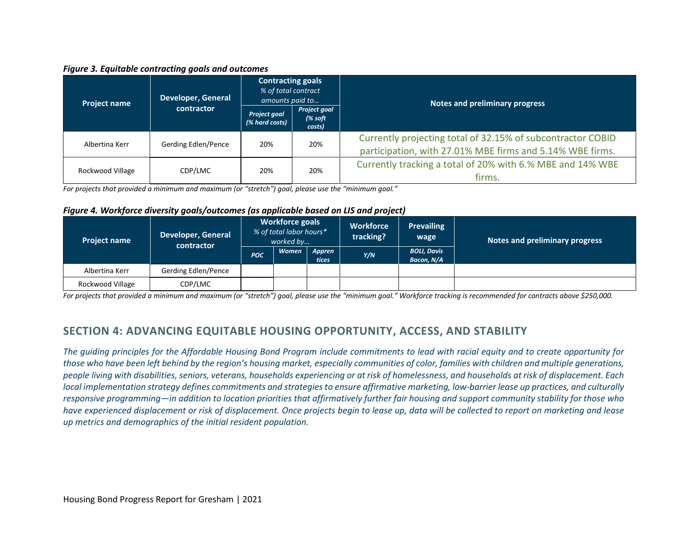#### *Figure 3. Equitable contracting goals and outcomes*

| <b>Project name</b> | <b>Developer, General</b> | <b>Contracting goals</b><br>% of total contract<br>amounts paid to |                                    | Notes and preliminary progress                                                                                           |  |  |  |
|---------------------|---------------------------|--------------------------------------------------------------------|------------------------------------|--------------------------------------------------------------------------------------------------------------------------|--|--|--|
|                     | contractor                | Project goal<br>(% hard costs)                                     | Project goal<br>$%$ soft<br>costs) |                                                                                                                          |  |  |  |
| Albertina Kerr      | Gerding Edlen/Pence       | 20%                                                                | 20%                                | Currently projecting total of 32.15% of subcontractor COBID<br>participation, with 27.01% MBE firms and 5.14% WBE firms. |  |  |  |
| Rockwood Village    | CDP/LMC                   | 20%                                                                | 20%                                | Currently tracking a total of 20% with 6.% MBE and 14% WBE<br>firms.                                                     |  |  |  |

*For projects that provided a minimum and maximum (or "stretch") goal, please use the "minimum goal."*

#### *Figure 4. Workforce diversity goals/outcomes (as applicable based on LIS and project)*

| <b>Project name</b> | <b>Developer, General</b><br>contractor | <b>Workforce goals</b><br>% of total labor hours*<br>worked by |              | <b>Workforce</b><br>tracking? | <b>Prevailing</b><br>wage | Notes and preliminary progress   |  |
|---------------------|-----------------------------------------|----------------------------------------------------------------|--------------|-------------------------------|---------------------------|----------------------------------|--|
|                     |                                         | <b>POC</b>                                                     | <b>Women</b> | Appren<br>tices               | Y/N                       | <b>BOLI, Davis</b><br>Bacon, N/A |  |
| Albertina Kerr      | Gerding Edlen/Pence                     |                                                                |              |                               |                           |                                  |  |
| Rockwood Village    | CDP/LMC                                 |                                                                |              |                               |                           |                                  |  |

*For projects that provided a minimum and maximum (or "stretch") goal, please use the "minimum goal." Workforce tracking is recommended for contracts above \$250,000.*

# **SECTION 4: ADVANCING EQUITABLE HOUSING OPPORTUNITY, ACCESS, AND STABILITY**

*The guiding principles for the Affordable Housing Bond Program include commitments to lead with racial equity and to create opportunity for those who have been left behind by the region's housing market, especially communities of color, families with children and multiple generations, people living with disabilities, seniors, veterans, households experiencing or at risk of homelessness, and households at risk of displacement. Each local implementation strategy defines commitments and strategies to ensure affirmative marketing, low-barrier lease up practices, and culturally responsive programming—in addition to location priorities that affirmatively further fair housing and support community stability for those who have experienced displacement or risk of displacement. Once projects begin to lease up, data will be collected to report on marketing and lease up metrics and demographics of the initial resident population.*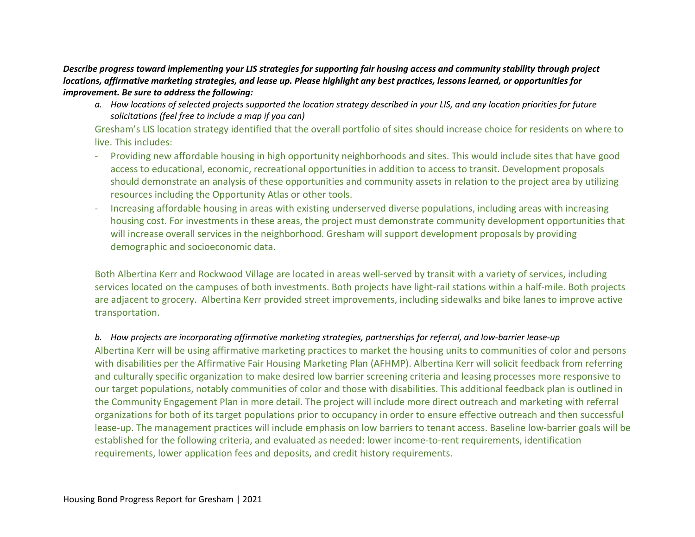*Describe progress toward implementing your LIS strategies for supporting fair housing access and community stability through project locations, affirmative marketing strategies, and lease up. Please highlight any best practices, lessons learned, or opportunities for improvement. Be sure to address the following:* 

*a. How locations of selected projects supported the location strategy described in your LIS, and any location priorities for future solicitations (feel free to include a map if you can)*

Gresham's LIS location strategy identified that the overall portfolio of sites should increase choice for residents on where to live. This includes:

- Providing new affordable housing in high opportunity neighborhoods and sites. This would include sites that have good access to educational, economic, recreational opportunities in addition to access to transit. Development proposals should demonstrate an analysis of these opportunities and community assets in relation to the project area by utilizing resources including the Opportunity Atlas or other tools.
- Increasing affordable housing in areas with existing underserved diverse populations, including areas with increasing housing cost. For investments in these areas, the project must demonstrate community development opportunities that will increase overall services in the neighborhood. Gresham will support development proposals by providing demographic and socioeconomic data.

Both Albertina Kerr and Rockwood Village are located in areas well-served by transit with a variety of services, including services located on the campuses of both investments. Both projects have light-rail stations within a half-mile. Both projects are adjacent to grocery. Albertina Kerr provided street improvements, including sidewalks and bike lanes to improve active transportation.

## *b. How projects are incorporating affirmative marketing strategies, partnerships for referral, and low-barrier lease-up*

Albertina Kerr will be using affirmative marketing practices to market the housing units to communities of color and persons with disabilities per the Affirmative Fair Housing Marketing Plan (AFHMP). Albertina Kerr will solicit feedback from referring and culturally specific organization to make desired low barrier screening criteria and leasing processes more responsive to our target populations, notably communities of color and those with disabilities. This additional feedback plan is outlined in the Community Engagement Plan in more detail. The project will include more direct outreach and marketing with referral organizations for both of its target populations prior to occupancy in order to ensure effective outreach and then successful lease-up. The management practices will include emphasis on low barriers to tenant access. Baseline low-barrier goals will be established for the following criteria, and evaluated as needed: lower income-to-rent requirements, identification requirements, lower application fees and deposits, and credit history requirements.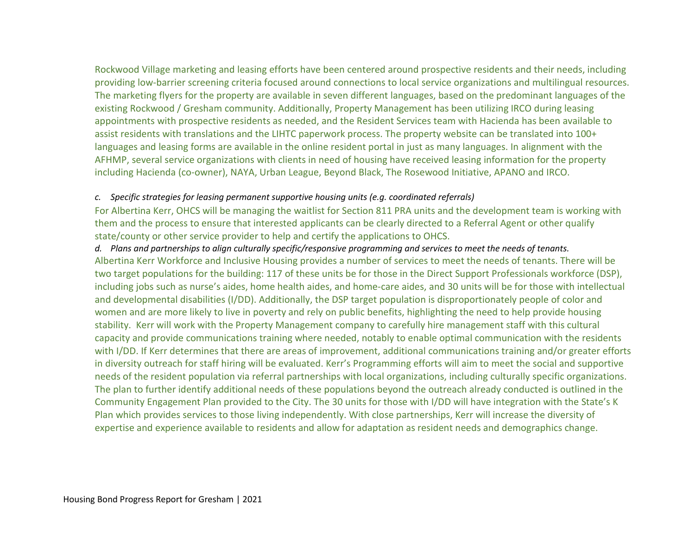Rockwood Village marketing and leasing efforts have been centered around prospective residents and their needs, including providing low-barrier screening criteria focused around connections to local service organizations and multilingual resources. The marketing flyers for the property are available in seven different languages, based on the predominant languages of the existing Rockwood / Gresham community. Additionally, Property Management has been utilizing IRCO during leasing appointments with prospective residents as needed, and the Resident Services team with Hacienda has been available to assist residents with translations and the LIHTC paperwork process. The property website can be translated into 100+ languages and leasing forms are available in the online resident portal in just as many languages. In alignment with the AFHMP, several service organizations with clients in need of housing have received leasing information for the property including Hacienda (co-owner), NAYA, Urban League, Beyond Black, The Rosewood Initiative, APANO and IRCO.

#### *c. Specific strategies for leasing permanent supportive housing units (e.g. coordinated referrals)*

For Albertina Kerr, OHCS will be managing the waitlist for Section 811 PRA units and the development team is working with them and the process to ensure that interested applicants can be clearly directed to a Referral Agent or other qualify state/county or other service provider to help and certify the applications to OHCS.

#### *d. Plans and partnerships to align culturally specific/responsive programming and services to meet the needs of tenants.*

Albertina Kerr Workforce and Inclusive Housing provides a number of services to meet the needs of tenants. There will be two target populations for the building: 117 of these units be for those in the Direct Support Professionals workforce (DSP), including jobs such as nurse's aides, home health aides, and home-care aides, and 30 units will be for those with intellectual and developmental disabilities (I/DD). Additionally, the DSP target population is disproportionately people of color and women and are more likely to live in poverty and rely on public benefits, highlighting the need to help provide housing stability. Kerr will work with the Property Management company to carefully hire management staff with this cultural capacity and provide communications training where needed, notably to enable optimal communication with the residents with I/DD. If Kerr determines that there are areas of improvement, additional communications training and/or greater efforts in diversity outreach for staff hiring will be evaluated. Kerr's Programming efforts will aim to meet the social and supportive needs of the resident population via referral partnerships with local organizations, including culturally specific organizations. The plan to further identify additional needs of these populations beyond the outreach already conducted is outlined in the Community Engagement Plan provided to the City. The 30 units for those with I/DD will have integration with the State's K Plan which provides services to those living independently. With close partnerships, Kerr will increase the diversity of expertise and experience available to residents and allow for adaptation as resident needs and demographics change.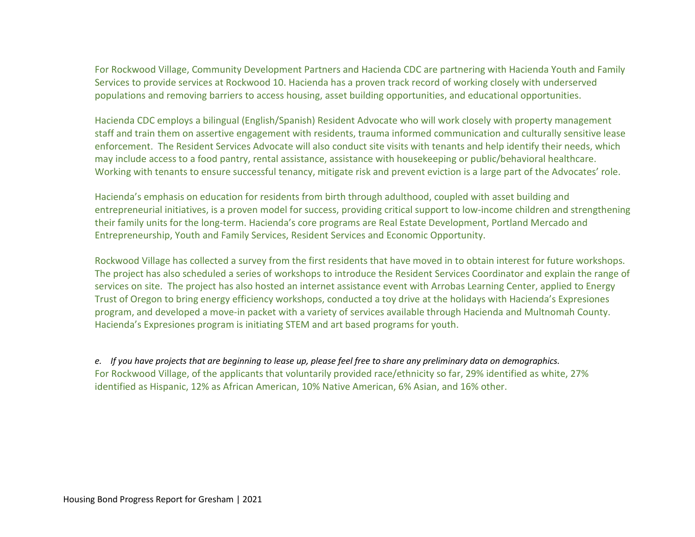For Rockwood Village, Community Development Partners and Hacienda CDC are partnering with Hacienda Youth and Family Services to provide services at Rockwood 10. Hacienda has a proven track record of working closely with underserved populations and removing barriers to access housing, asset building opportunities, and educational opportunities.

Hacienda CDC employs a bilingual (English/Spanish) Resident Advocate who will work closely with property management staff and train them on assertive engagement with residents, trauma informed communication and culturally sensitive lease enforcement. The Resident Services Advocate will also conduct site visits with tenants and help identify their needs, which may include access to a food pantry, rental assistance, assistance with housekeeping or public/behavioral healthcare. Working with tenants to ensure successful tenancy, mitigate risk and prevent eviction is a large part of the Advocates' role.

Hacienda's emphasis on education for residents from birth through adulthood, coupled with asset building and entrepreneurial initiatives, is a proven model for success, providing critical support to low-income children and strengthening their family units for the long-term. Hacienda's core programs are Real Estate Development, Portland Mercado and Entrepreneurship, Youth and Family Services, Resident Services and Economic Opportunity.

Rockwood Village has collected a survey from the first residents that have moved in to obtain interest for future workshops. The project has also scheduled a series of workshops to introduce the Resident Services Coordinator and explain the range of services on site. The project has also hosted an internet assistance event with Arrobas Learning Center, applied to Energy Trust of Oregon to bring energy efficiency workshops, conducted a toy drive at the holidays with Hacienda's Expresiones program, and developed a move-in packet with a variety of services available through Hacienda and Multnomah County. Hacienda's Expresiones program is initiating STEM and art based programs for youth.

*e. If you have projects that are beginning to lease up, please feel free to share any preliminary data on demographics.* For Rockwood Village, of the applicants that voluntarily provided race/ethnicity so far, 29% identified as white, 27% identified as Hispanic, 12% as African American, 10% Native American, 6% Asian, and 16% other.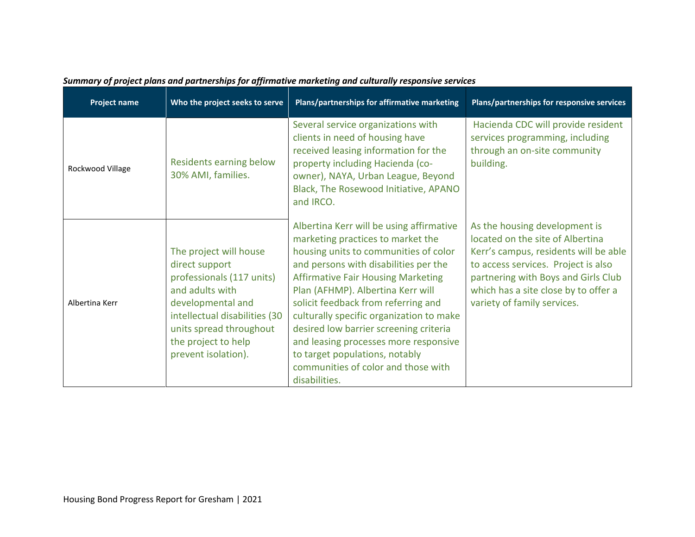| <b>Project name</b> | Who the project seeks to serve                                                                                                                                                                                          | Plans/partnerships for affirmative marketing                                                                                                                                                                                                                                                                                                                                                                                                                                                                      | Plans/partnerships for responsive services                                                                                                                                                                                                                      |
|---------------------|-------------------------------------------------------------------------------------------------------------------------------------------------------------------------------------------------------------------------|-------------------------------------------------------------------------------------------------------------------------------------------------------------------------------------------------------------------------------------------------------------------------------------------------------------------------------------------------------------------------------------------------------------------------------------------------------------------------------------------------------------------|-----------------------------------------------------------------------------------------------------------------------------------------------------------------------------------------------------------------------------------------------------------------|
| Rockwood Village    | Residents earning below<br>30% AMI, families.                                                                                                                                                                           | Several service organizations with<br>clients in need of housing have<br>received leasing information for the<br>property including Hacienda (co-<br>owner), NAYA, Urban League, Beyond<br>Black, The Rosewood Initiative, APANO<br>and IRCO.                                                                                                                                                                                                                                                                     | Hacienda CDC will provide resident<br>services programming, including<br>through an on-site community<br>building.                                                                                                                                              |
| Albertina Kerr      | The project will house<br>direct support<br>professionals (117 units)<br>and adults with<br>developmental and<br>intellectual disabilities (30<br>units spread throughout<br>the project to help<br>prevent isolation). | Albertina Kerr will be using affirmative<br>marketing practices to market the<br>housing units to communities of color<br>and persons with disabilities per the<br><b>Affirmative Fair Housing Marketing</b><br>Plan (AFHMP). Albertina Kerr will<br>solicit feedback from referring and<br>culturally specific organization to make<br>desired low barrier screening criteria<br>and leasing processes more responsive<br>to target populations, notably<br>communities of color and those with<br>disabilities. | As the housing development is<br>located on the site of Albertina<br>Kerr's campus, residents will be able<br>to access services. Project is also<br>partnering with Boys and Girls Club<br>which has a site close by to offer a<br>variety of family services. |

# *Summary of project plans and partnerships for affirmative marketing and culturally responsive services*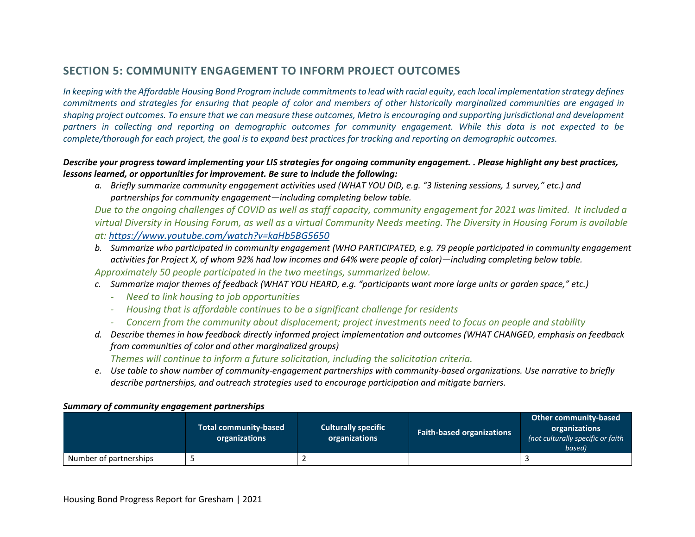# **SECTION 5: COMMUNITY ENGAGEMENT TO INFORM PROJECT OUTCOMES**

*In keeping with the Affordable Housing Bond Program include commitments to lead with racial equity, each local implementation strategy defines commitments and strategies for ensuring that people of color and members of other historically marginalized communities are engaged in shaping project outcomes. To ensure that we can measure these outcomes, Metro is encouraging and supporting jurisdictional and development partners in collecting and reporting on demographic outcomes for community engagement. While this data is not expected to be complete/thorough for each project, the goal is to expand best practices for tracking and reporting on demographic outcomes.* 

### *Describe your progress toward implementing your LIS strategies for ongoing community engagement. . Please highlight any best practices, lessons learned, or opportunities for improvement. Be sure to include the following:*

*a. Briefly summarize community engagement activities used (WHAT YOU DID, e.g. "3 listening sessions, 1 survey," etc.) and partnerships for community engagement—including completing below table.*

*Due to the ongoing challenges of COVID as well as staff capacity, community engagement for 2021 was limited. It included a virtual Diversity in Housing Forum, as well as a virtual Community Needs meeting. The Diversity in Housing Forum is available at:<https://www.youtube.com/watch?v=kaHb5BG5650>*

- *b. Summarize who participated in community engagement (WHO PARTICIPATED, e.g. 79 people participated in community engagement activities for Project X, of whom 92% had low incomes and 64% were people of color)—including completing below table. Approximately 50 people participated in the two meetings, summarized below.*
- *c. Summarize major themes of feedback (WHAT YOU HEARD, e.g. "participants want more large units or garden space," etc.)*
	- *Need to link housing to job opportunities*
	- *Housing that is affordable continues to be a significant challenge for residents*
	- *Concern from the community about displacement; project investments need to focus on people and stability*
- *d. Describe themes in how feedback directly informed project implementation and outcomes (WHAT CHANGED, emphasis on feedback from communities of color and other marginalized groups)*

*Themes will continue to inform a future solicitation, including the solicitation criteria.*

*e. Use table to show number of community-engagement partnerships with community-based organizations. Use narrative to briefly describe partnerships, and outreach strategies used to encourage participation and mitigate barriers.*

#### *Summary of community engagement partnerships*

|                        | <b>Total community-based</b><br>organizations | <b>Culturally specific</b><br>organizations | <b>Faith-based organizations</b> | Other community-based<br>organizations<br>(not culturally specific or faith<br>based) |
|------------------------|-----------------------------------------------|---------------------------------------------|----------------------------------|---------------------------------------------------------------------------------------|
| Number of partnerships |                                               |                                             |                                  |                                                                                       |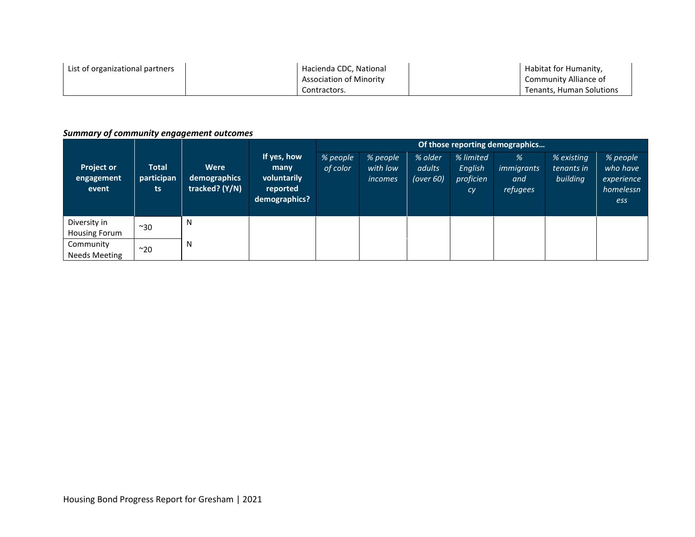| List of organizational partners | Hacienda CDC, National         | Habitat for Humanity,    |
|---------------------------------|--------------------------------|--------------------------|
|                                 | <b>Association of Minority</b> | Community Alliance of    |
|                                 | Contractors.                   | Tenants. Human Solutions |

## *Summary of community engagement outcomes*

|                                          |                                   |                                        |                                                                 | Of those reporting demographics |                                        |                                   |                                         |                                    |                                      |                                                        |  |
|------------------------------------------|-----------------------------------|----------------------------------------|-----------------------------------------------------------------|---------------------------------|----------------------------------------|-----------------------------------|-----------------------------------------|------------------------------------|--------------------------------------|--------------------------------------------------------|--|
| <b>Project or</b><br>engagement<br>event | <b>Total</b><br>participan<br>ts. | Were<br>demographics<br>tracked? (Y/N) | If yes, how<br>many<br>voluntarily<br>reported<br>demographics? | % people<br>of color            | % people<br>with low<br><i>incomes</i> | % older<br>adults<br>(over $60$ ) | % limited<br>English<br>proficien<br>cy | %<br>immigrants<br>and<br>refugees | % existing<br>tenants in<br>building | % people<br>who have<br>experience<br>homelessn<br>ess |  |
| Diversity in<br>Housing Forum            | $~\sim$ 30                        | N                                      |                                                                 |                                 |                                        |                                   |                                         |                                    |                                      |                                                        |  |
| Community<br>Needs Meeting               | $~^{\sim}$ 20                     | N                                      |                                                                 |                                 |                                        |                                   |                                         |                                    |                                      |                                                        |  |